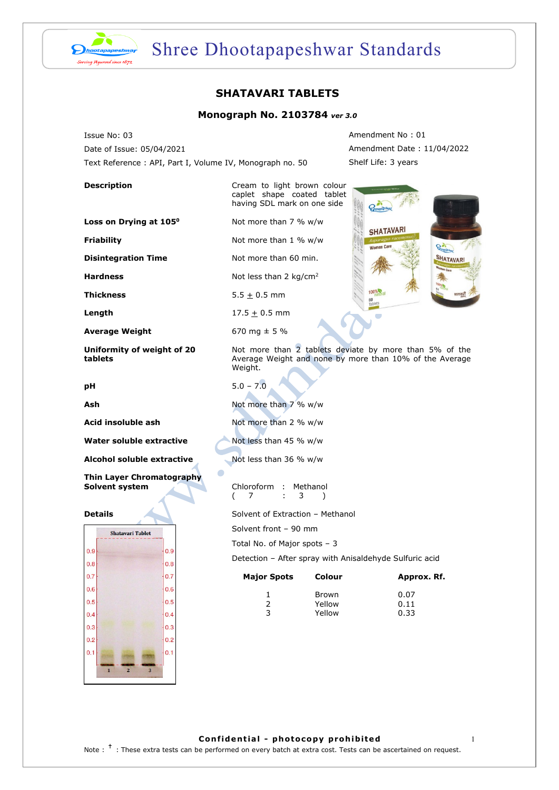

 $0.9$ 

 $0.8$ 

 $0.7$ 

 $0.6$ 

 $0.5$ 

 $0.4$ 

 $0.3$ 

 $0.2$ 

 $0.1$ 

## Shree Dhootapapeshwar Standards

### **SHATAVARI TABLETS**

#### **Monograph No. 2103784** *ver 3.0*

Issue No: 03 Amendment No : 01 Date of Issue: 05/04/2021 2001 2002 2003 Amendment Date : 11/04/2022 Text Reference : API, Part I, Volume IV, Monograph no. 50 Shelf Life: 3 years